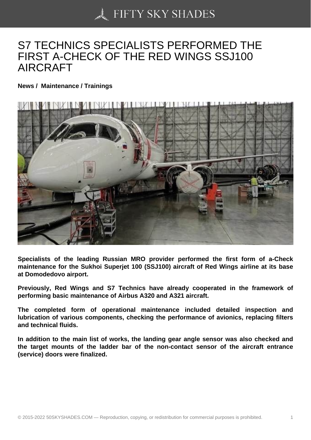## [S7 TECHNICS SPECIA](https://50skyshades.com)LISTS PERFORMED THE FIRST A-CHECK OF THE RED WINGS SSJ100 AIRCRAFT

News / Maintenance / Trainings

Specialists of the leading Russian MRO provider performed the first form of a-Check maintenance for the Sukhoi Superjet 100 (SSJ100) aircraft of Red Wings airline at its base at Domodedovo airport.

Previously, Red Wings and S7 Technics have already cooperated in the framework of performing basic maintenance of Airbus A320 and A321 aircraft.

The completed form of operational maintenance included detailed inspection and lubrication of various components, checking the performance of avionics, replacing filters and technical fluids.

In addition to the main list of works, the landing gear angle sensor was also checked and the target mounts of the ladder bar of the non-contact sensor of the aircraft entrance (service) doors were finalized.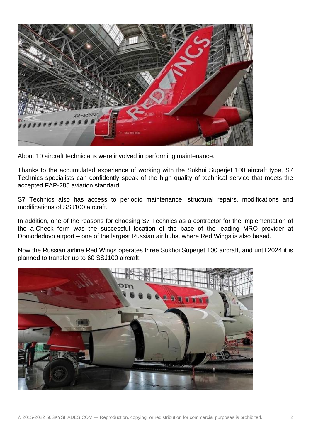

About 10 aircraft technicians were involved in performing maintenance.

Thanks to the accumulated experience of working with the Sukhoi Superjet 100 aircraft type, S7 Technics specialists can confidently speak of the high quality of technical service that meets the accepted FAP-285 aviation standard.

S7 Technics also has access to periodic maintenance, structural repairs, modifications and modifications of SSJ100 aircraft.

In addition, one of the reasons for choosing S7 Technics as a contractor for the implementation of the a-Check form was the successful location of the base of the leading MRO provider at Domodedovo airport – one of the largest Russian air hubs, where Red Wings is also based.

Now the Russian airline Red Wings operates three Sukhoi Superjet 100 aircraft, and until 2024 it is planned to transfer up to 60 SSJ100 aircraft.